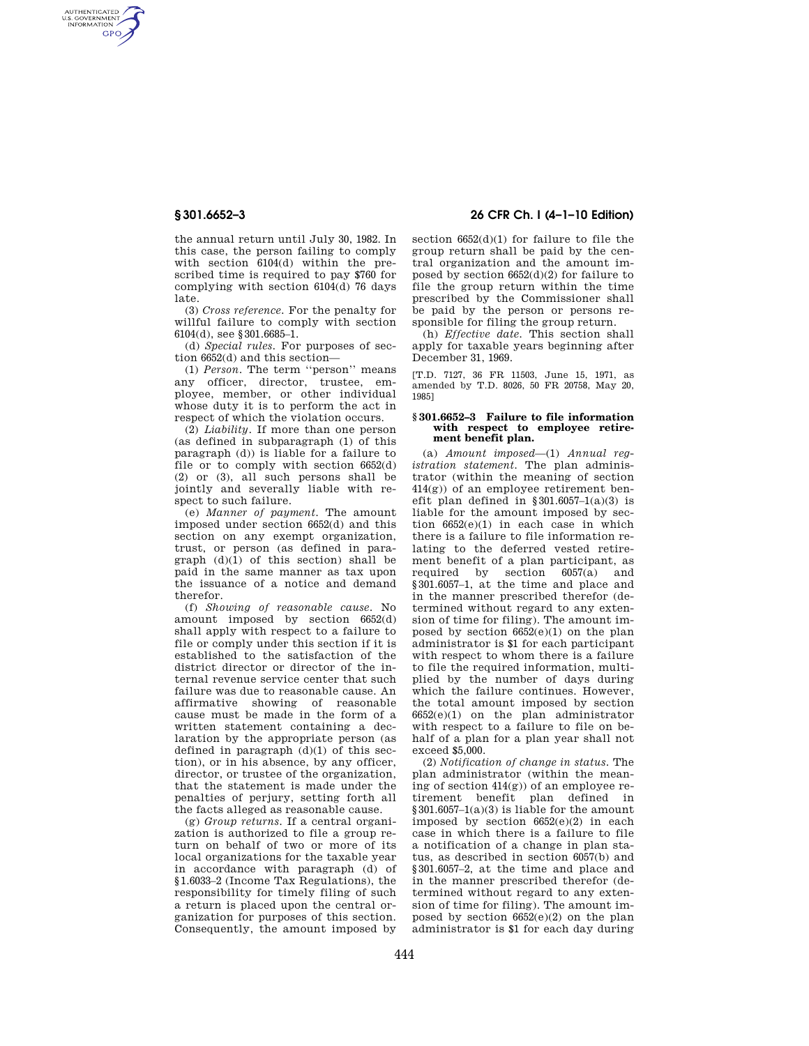AUTHENTICATED<br>U.S. GOVERNMENT<br>INFORMATION **GPO** 

> the annual return until July 30, 1982. In this case, the person failing to comply with section 6104(d) within the prescribed time is required to pay \$760 for complying with section 6104(d) 76 days late.

(3) *Cross reference.* For the penalty for willful failure to comply with section 6104(d), see §301.6685–1.

(d) *Special rules.* For purposes of section 6652(d) and this section—

(1) *Person.* The term ''person'' means any officer, director, trustee, employee, member, or other individual whose duty it is to perform the act in respect of which the violation occurs.

(2) *Liability.* If more than one person (as defined in subparagraph (1) of this paragraph (d)) is liable for a failure to file or to comply with section  $6652(d)$ (2) or (3), all such persons shall be jointly and severally liable with respect to such failure.

(e) *Manner of payment.* The amount imposed under section 6652(d) and this section on any exempt organization, trust, or person (as defined in para $graph$   $(d)(1)$  of this section) shall be paid in the same manner as tax upon the issuance of a notice and demand therefor.

(f) *Showing of reasonable cause.* No amount imposed by section 6652(d) shall apply with respect to a failure to file or comply under this section if it is established to the satisfaction of the district director or director of the internal revenue service center that such failure was due to reasonable cause. An affirmative showing of reasonable cause must be made in the form of a written statement containing a declaration by the appropriate person (as defined in paragraph  $(d)(1)$  of this section), or in his absence, by any officer, director, or trustee of the organization, that the statement is made under the penalties of perjury, setting forth all the facts alleged as reasonable cause.

(g) *Group returns.* If a central organization is authorized to file a group return on behalf of two or more of its local organizations for the taxable year in accordance with paragraph (d) of §1.6033–2 (Income Tax Regulations), the responsibility for timely filing of such a return is placed upon the central organization for purposes of this section. Consequently, the amount imposed by

# **§ 301.6652–3 26 CFR Ch. I (4–1–10 Edition)**

section 6652(d)(1) for failure to file the group return shall be paid by the central organization and the amount imposed by section  $6652(d)(2)$  for failure to file the group return within the time prescribed by the Commissioner shall be paid by the person or persons responsible for filing the group return.

(h) *Effective date.* This section shall apply for taxable years beginning after December 31, 1969.

[T.D. 7127, 36 FR 11503, June 15, 1971, as amended by T.D. 8026, 50 FR 20758, May 20, 1985]

### **§ 301.6652–3 Failure to file information with respect to employee retirement benefit plan.**

(a) *Amount imposed*—(1) *Annual registration statement.* The plan administrator (within the meaning of section 414(g)) of an employee retirement benefit plan defined in  $§ 301.6057-1(a)(3)$  is liable for the amount imposed by section 6652(e)(1) in each case in which there is a failure to file information relating to the deferred vested retirement benefit of a plan participant, as required by section 6057(a) and §301.6057–1, at the time and place and in the manner prescribed therefor (determined without regard to any extension of time for filing). The amount imposed by section  $6652(e)(1)$  on the plan administrator is \$1 for each participant with respect to whom there is a failure to file the required information, multiplied by the number of days during which the failure continues. However, the total amount imposed by section 6652(e)(1) on the plan administrator with respect to a failure to file on behalf of a plan for a plan year shall not exceed \$5,000.

(2) *Notification of change in status.* The plan administrator (within the meaning of section 414(g)) of an employee retirement benefit plan defined in §301.6057–1(a)(3) is liable for the amount imposed by section 6652(e)(2) in each case in which there is a failure to file a notification of a change in plan status, as described in section 6057(b) and §301.6057–2, at the time and place and in the manner prescribed therefor (determined without regard to any extension of time for filing). The amount imposed by section 6652(e)(2) on the plan administrator is \$1 for each day during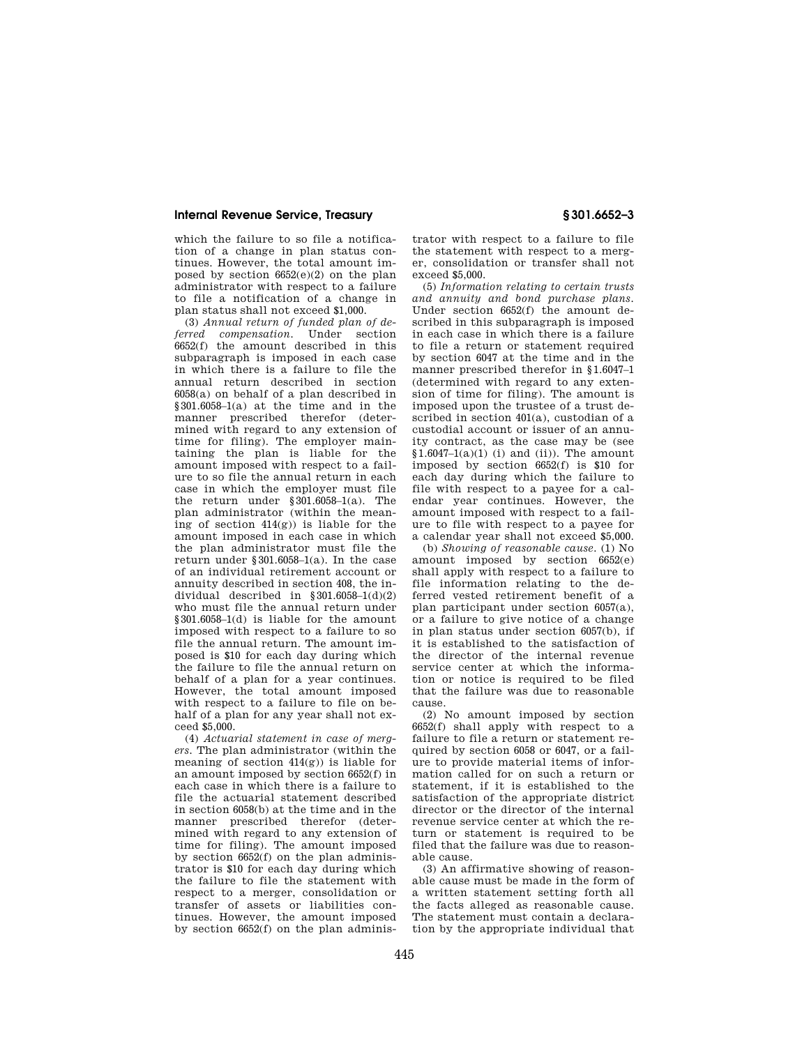## **Internal Revenue Service, Treasury § 301.6652–3**

which the failure to so file a notification of a change in plan status continues. However, the total amount imposed by section  $6652(e)(2)$  on the plan administrator with respect to a failure to file a notification of a change in plan status shall not exceed \$1,000.

(3) *Annual return of funded plan of deferred compensation.* Under section 6652(f) the amount described in this subparagraph is imposed in each case in which there is a failure to file the annual return described in section 6058(a) on behalf of a plan described in §301.6058–1(a) at the time and in the manner prescribed therefor (determined with regard to any extension of time for filing). The employer maintaining the plan is liable for the amount imposed with respect to a failure to so file the annual return in each case in which the employer must file the return under §301.6058–1(a). The plan administrator (within the meaning of section  $414(g)$  is liable for the amount imposed in each case in which the plan administrator must file the return under §301.6058–1(a). In the case of an individual retirement account or annuity described in section 408, the individual described in  $$301.6058-1(d)(2)$ who must file the annual return under §301.6058–1(d) is liable for the amount imposed with respect to a failure to so file the annual return. The amount imposed is \$10 for each day during which the failure to file the annual return on behalf of a plan for a year continues. However, the total amount imposed with respect to a failure to file on behalf of a plan for any year shall not exceed \$5,000.

(4) *Actuarial statement in case of mergers.* The plan administrator (within the meaning of section 414(g)) is liable for an amount imposed by section 6652(f) in each case in which there is a failure to file the actuarial statement described in section 6058(b) at the time and in the manner prescribed therefor (determined with regard to any extension of time for filing). The amount imposed by section 6652(f) on the plan administrator is \$10 for each day during which the failure to file the statement with respect to a merger, consolidation or transfer of assets or liabilities continues. However, the amount imposed by section  $6652(f)$  on the plan adminis-

trator with respect to a failure to file the statement with respect to a merger, consolidation or transfer shall not exceed \$5,000.

(5) *Information relating to certain trusts and annuity and bond purchase plans.*  Under section 6652(f) the amount described in this subparagraph is imposed in each case in which there is a failure to file a return or statement required by section 6047 at the time and in the manner prescribed therefor in §1.6047–1 (determined with regard to any extension of time for filing). The amount is imposed upon the trustee of a trust described in section 401(a), custodian of a custodial account or issuer of an annuity contract, as the case may be (see  $$1.6047-1(a)(1)$  (i) and (ii)). The amount imposed by section 6652(f) is \$10 for each day during which the failure to file with respect to a payee for a calendar year continues. However, the amount imposed with respect to a failure to file with respect to a payee for a calendar year shall not exceed \$5,000.

(b) *Showing of reasonable cause.* (1) No amount imposed by section 6652(e) shall apply with respect to a failure to file information relating to the deferred vested retirement benefit of a plan participant under section 6057(a), or a failure to give notice of a change in plan status under section 6057(b), if it is established to the satisfaction of the director of the internal revenue service center at which the information or notice is required to be filed that the failure was due to reasonable cause.

(2) No amount imposed by section  $6652(f)$  shall apply with respect to a failure to file a return or statement required by section 6058 or 6047, or a failure to provide material items of information called for on such a return or statement, if it is established to the satisfaction of the appropriate district director or the director of the internal revenue service center at which the return or statement is required to be filed that the failure was due to reasonable cause.

(3) An affirmative showing of reasonable cause must be made in the form of a written statement setting forth all the facts alleged as reasonable cause. The statement must contain a declaration by the appropriate individual that